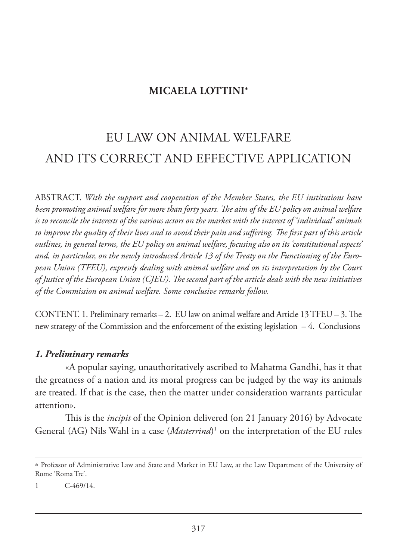# **MICAELA LOTTINI**\*

# EU LAW ON ANIMAL WELFARE AND ITS CORRECT AND EFFECTIVE APPLICATION

ABSTRACT. *With the support and cooperation of the Member States, the EU institutions have been promoting animal welfare for more than forty years. The aim of the EU policy on animal welfare is to reconcile the interests of the various actors on the market with the interest of 'individual' animals to improve the quality of their lives and to avoid their pain and suffering. The first part of this article outlines, in general terms, the EU policy on animal welfare, focusing also on its 'constitutional aspects' and, in particular, on the newly introduced Article 13 of the Treaty on the Functioning of the European Union (TFEU), expressly dealing with animal welfare and on its interpretation by the Court of Justice of the European Union (CJEU). The second part of the article deals with the new initiatives of the Commission on animal welfare. Some conclusive remarks follow.* 

CONTENT. 1. Preliminary remarks – 2. EU law on animal welfare and Article 13 TFEU – 3. The new strategy of the Commission and the enforcement of the existing legislation – 4. Conclusions

## *1. Preliminary remarks*

«A popular saying, unauthoritatively ascribed to Mahatma Gandhi, has it that the greatness of a nation and its moral progress can be judged by the way its animals are treated. If that is the case, then the matter under consideration warrants particular attention».

This is the *incipit* of the Opinion delivered (on 21 January 2016) by Advocate General (AG) Nils Wahl in a case (*Masterrind*) 1 on the interpretation of the EU rules

<sup>\*</sup> Professor of Administrative Law and State and Market in EU Law, at the Law Department of the University of Rome 'Roma Tre'.

<sup>1</sup> C-469/14.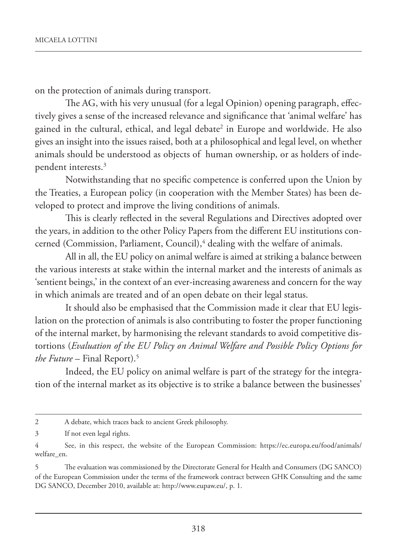on the protection of animals during transport.

The AG, with his very unusual (for a legal Opinion) opening paragraph, effectively gives a sense of the increased relevance and significance that 'animal welfare' has gained in the cultural, ethical, and legal debate<sup>2</sup> in Europe and worldwide. He also gives an insight into the issues raised, both at a philosophical and legal level, on whether animals should be understood as objects of human ownership, or as holders of independent interests.<sup>3</sup>

Notwithstanding that no specific competence is conferred upon the Union by the Treaties, a European policy (in cooperation with the Member States) has been developed to protect and improve the living conditions of animals.

This is clearly reflected in the several Regulations and Directives adopted over the years, in addition to the other Policy Papers from the different EU institutions concerned (Commission, Parliament, Council),<sup>4</sup> dealing with the welfare of animals.

All in all, the EU policy on animal welfare is aimed at striking a balance between the various interests at stake within the internal market and the interests of animals as 'sentient beings,' in the context of an ever-increasing awareness and concern for the way in which animals are treated and of an open debate on their legal status.

It should also be emphasised that the Commission made it clear that EU legislation on the protection of animals is also contributing to foster the proper functioning of the internal market, by harmonising the relevant standards to avoid competitive distortions (*Evaluation of the EU Policy on Animal Welfare and Possible Policy Options for the Future* – Final Report).5

Indeed, the EU policy on animal welfare is part of the strategy for the integration of the internal market as its objective is to strike a balance between the businesses'

<sup>2</sup> A debate, which traces back to ancient Greek philosophy.

<sup>3</sup> If not even legal rights.

<sup>4</sup> See, in this respect, the website of the European Commission: https://ec.europa.eu/food/animals/ welfare\_en.

<sup>5</sup> The evaluation was commissioned by the Directorate General for Health and Consumers (DG SANCO) of the European Commission under the terms of the framework contract between GHK Consulting and the same DG SANCO, December 2010, available at: http://www.eupaw.eu/, p. 1.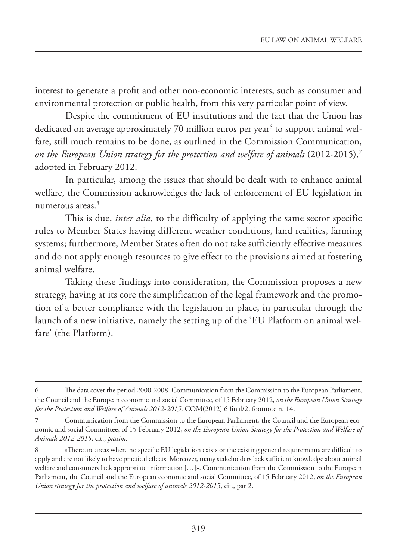interest to generate a profit and other non-economic interests, such as consumer and environmental protection or public health, from this very particular point of view.

Despite the commitment of EU institutions and the fact that the Union has dedicated on average approximately 70 million euros per year<sup>6</sup> to support animal welfare, still much remains to be done, as outlined in the Commission Communication, *on the European Union strategy for the protection and welfare of animals* (2012-2015),7 adopted in February 2012.

In particular, among the issues that should be dealt with to enhance animal welfare, the Commission acknowledges the lack of enforcement of EU legislation in numerous areas.8

This is due, *inter alia*, to the difficulty of applying the same sector specific rules to Member States having different weather conditions, land realities, farming systems; furthermore, Member States often do not take sufficiently effective measures and do not apply enough resources to give effect to the provisions aimed at fostering animal welfare.

Taking these findings into consideration, the Commission proposes a new strategy, having at its core the simplification of the legal framework and the promotion of a better compliance with the legislation in place, in particular through the launch of a new initiative, namely the setting up of the 'EU Platform on animal welfare' (the Platform).

<sup>6</sup> The data cover the period 2000-2008. Communication from the Commission to the European Parliament, the Council and the European economic and social Committee, of 15 February 2012, *on the European Union Strategy for the Protection and Welfare of Animals 2012-2015*, COM(2012) 6 final/2, footnote n. 14.

<sup>7</sup> Communication from the Commission to the European Parliament, the Council and the European economic and social Committee, of 15 February 2012, *on the European Union Strategy for the Protection and Welfare of Animals 2012-2015*, cit., *passim*.

<sup>8 «</sup>There are areas where no specific EU legislation exists or the existing general requirements are difficult to apply and are not likely to have practical effects. Moreover, many stakeholders lack sufficient knowledge about animal welfare and consumers lack appropriate information […]». Communication from the Commission to the European Parliament, the Council and the European economic and social Committee, of 15 February 2012, *on the European Union strategy for the protection and welfare of animals 2012-2015*, cit., par 2.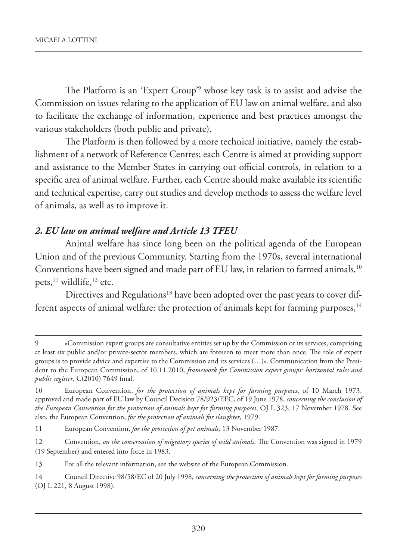The Platform is an 'Expert Group'9 whose key task is to assist and advise the Commission on issues relating to the application of EU law on animal welfare, and also to facilitate the exchange of information, experience and best practices amongst the various stakeholders (both public and private).

The Platform is then followed by a more technical initiative, namely the establishment of a network of Reference Centres; each Centre is aimed at providing support and assistance to the Member States in carrying out official controls, in relation to a specific area of animal welfare. Further, each Centre should make available its scientific and technical expertise, carry out studies and develop methods to assess the welfare level of animals, as well as to improve it.

# *2. EU law on animal welfare and Article 13 TFEU*

Animal welfare has since long been on the political agenda of the European Union and of the previous Community. Starting from the 1970s, several international Conventions have been signed and made part of EU law, in relation to farmed animals,<sup>10</sup> pets,<sup>11</sup> wildlife,<sup>12</sup> etc.

Directives and Regulations<sup>13</sup> have been adopted over the past years to cover different aspects of animal welfare: the protection of animals kept for farming purposes,  $14$ 

14 Council Directive 98/58/EC of 20 July 1998, *concerning the protection of animals kept for farming purposes* (OJ L 221, 8 August 1998).

<sup>9</sup> «Commission expert groups are consultative entities set up by the Commission or its services, comprising at least six public and/or private-sector members, which are foreseen to meet more than once. The role of expert groups is to provide advice and expertise to the Commission and its services (…)». Communication from the President to the European Commission, of 10.11.2010, *framework for Commission expert groups: horizontal rules and public register*, C(2010) 7649 final.

<sup>10</sup> European Convention, *for the protection of animals kept for farming purposes*, of 10 March 1973, approved and made part of EU law by Council Decision 78/923/EEC, of 19 June 1978, *concerning the conclusion of the European Convention for the protection of animals kept for farming purposes*, OJ L 323, 17 November 1978. See also, the European Convention, *for the protection of animals for slaughter*, 1979.

<sup>11</sup> European Convention, *for the protection of pet animals*, 13 November 1987.

<sup>12</sup> Convention, *on the conservation of migratory species of wild animals*. The Convention was signed in 1979 (19 September) and entered into force in 1983.

<sup>13</sup> For all the relevant information, see the website of the European Commission.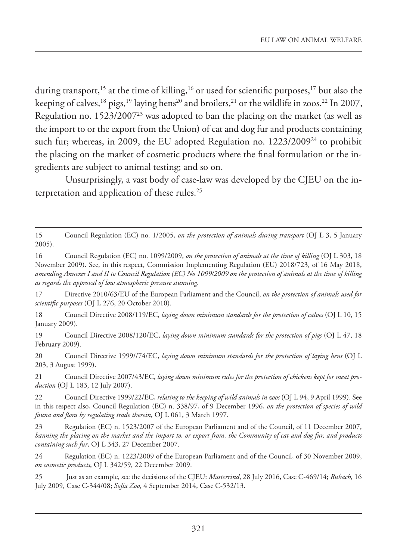during transport,<sup>15</sup> at the time of killing,<sup>16</sup> or used for scientific purposes,<sup>17</sup> but also the keeping of calves,<sup>18</sup> pigs,<sup>19</sup> laying hens<sup>20</sup> and broilers,<sup>21</sup> or the wildlife in zoos.<sup>22</sup> In 2007, Regulation no.  $1523/2007^{23}$  was adopted to ban the placing on the market (as well as the import to or the export from the Union) of cat and dog fur and products containing such fur; whereas, in 2009, the EU adopted Regulation no. 1223/2009<sup>24</sup> to prohibit the placing on the market of cosmetic products where the final formulation or the ingredients are subject to animal testing; and so on.

Unsurprisingly, a vast body of case-law was developed by the CJEU on the interpretation and application of these rules.25

17 Directive 2010/63/EU of the European Parliament and the Council, *on the protection of animals used for scientific purposes* (OJ L 276, 20 October 2010).

18 Council Directive 2008/119/EC, *laying down minimum standards for the protection of calves* (OJ L 10, 15 January 2009).

19 Council Directive 2008/120/EC, *laying down minimum standards for the protection of pigs* (OJ L 47, 18 February 2009).

20 Council Directive 1999//74/EC, *laying down minimum standards for the protection of laying hens* (OJ L 203, 3 August 1999).

21 Council Directive 2007/43/EC, *laying down minimum rules for the protection of chickens kept for meat production* (OJ L 183, 12 July 2007).

22 Council Directive 1999/22/EC, *relating to the keeping of wild animals in zoos* (OJ L 94, 9 April 1999). See in this respect also, Council Regulation (EC) n. 338/97, of 9 December 1996, *on the protection of species of wild fauna and flora by regulating trade therein*, OJ L 061, 3 March 1997.

23 Regulation (EC) n. 1523/2007 of the European Parliament and of the Council, of 11 December 2007, *banning the placing on the market and the import to, or export from, the Community of cat and dog fur, and products containing such fur*, OJ L 343, 27 December 2007.

24 Regulation (EC) n. 1223/2009 of the European Parliament and of the Council, of 30 November 2009, *on cosmetic products*, OJ L 342/59, 22 December 2009.

25 Just as an example, see the decisions of the CJEU: *Masterrind*, 28 July 2016, Case C-469/14; *Rubach*, 16 July 2009, Case C-344/08; *Sofia Zoo*, 4 September 2014, Case C-532/13.

<sup>15</sup> Council Regulation (EC) no. 1/2005, *on the protection of animals during transport* (OJ L 3, 5 January 2005).

<sup>16</sup> Council Regulation (EC) no. 1099/2009, *on the protection of animals at the time of killing* (OJ L 303, 18 November 2009). See, in this respect, Commission Implementing Regulation (EU) 2018/723, of 16 May 2018, *amending Annexes I and II to Council Regulation (EC) No 1099/2009 on the protection of animals at the time of killing as regards the approval of low atmospheric pressure stunning.*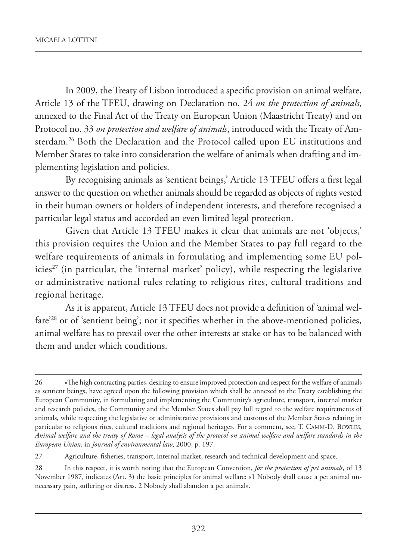In 2009, the Treaty of Lisbon introduced a specific provision on animal welfare, Article 13 of the TFEU, drawing on Declaration no. 24 *on the protection of animals*, annexed to the Final Act of the Treaty on European Union (Maastricht Treaty) and on Protocol no. 33 *on protection and welfare of animals*, introduced with the Treaty of Amsterdam.26 Both the Declaration and the Protocol called upon EU institutions and Member States to take into consideration the welfare of animals when drafting and implementing legislation and policies.

By recognising animals as 'sentient beings,' Article 13 TFEU offers a first legal answer to the question on whether animals should be regarded as objects of rights vested in their human owners or holders of independent interests, and therefore recognised a particular legal status and accorded an even limited legal protection.

Given that Article 13 TFEU makes it clear that animals are not 'objects,' this provision requires the Union and the Member States to pay full regard to the welfare requirements of animals in formulating and implementing some EU policies<sup>27</sup> (in particular, the 'internal market' policy), while respecting the legislative or administrative national rules relating to religious rites, cultural traditions and regional heritage.

As it is apparent, Article 13 TFEU does not provide a definition of 'animal welfare<sup>'28</sup> or of 'sentient being'; nor it specifies whether in the above-mentioned policies, animal welfare has to prevail over the other interests at stake or has to be balanced with them and under which conditions.

<sup>26 «</sup>The high contracting parties, desiring to ensure improved protection and respect for the welfare of animals as sentient beings, have agreed upon the following provision which shall be annexed to the Treaty establishing the European Community, in formulating and implementing the Community's agriculture, transport, internal market and research policies, the Community and the Member States shall pay full regard to the welfare requirements of animals, while respecting the legislative or administrative provisions and customs of the Member States relating in particular to religious rites, cultural traditions and regional heritage». For a comment, see, T. CAMM-D. BOWLES, *Animal welfare and the treaty of Rome – legal analysis of the protocol on animal welfare and welfare standards in the European Union*, in *Journal of environmental law*, 2000, p. 197.

<sup>27</sup> Agriculture, fisheries, transport, internal market, research and technical development and space.

<sup>28</sup> In this respect, it is worth noting that the European Convention, *for the protection of pet animals*, of 13 November 1987, indicates (Art. 3) the basic principles for animal welfare: «1 Nobody shall cause a pet animal unnecessary pain, suffering or distress. 2 Nobody shall abandon a pet animal».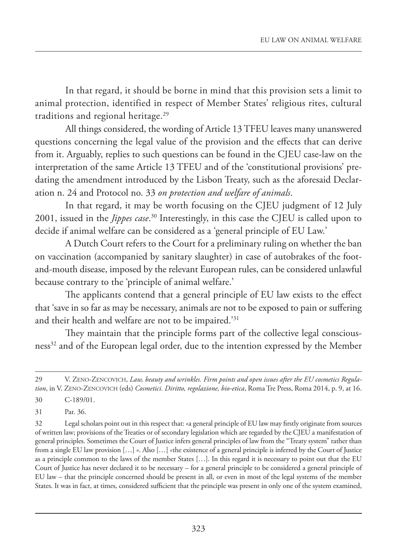In that regard, it should be borne in mind that this provision sets a limit to animal protection, identified in respect of Member States' religious rites, cultural traditions and regional heritage.<sup>29</sup>

All things considered, the wording of Article 13 TFEU leaves many unanswered questions concerning the legal value of the provision and the effects that can derive from it. Arguably, replies to such questions can be found in the CJEU case-law on the interpretation of the same Article 13 TFEU and of the 'constitutional provisions' predating the amendment introduced by the Lisbon Treaty, such as the aforesaid Declaration n. 24 and Protocol no. 33 *on protection and welfare of animals*.

In that regard, it may be worth focusing on the CJEU judgment of 12 July 2001, issued in the *Jippes case*. 30 Interestingly, in this case the CJEU is called upon to decide if animal welfare can be considered as a 'general principle of EU Law.'

A Dutch Court refers to the Court for a preliminary ruling on whether the ban on vaccination (accompanied by sanitary slaughter) in case of autobrakes of the footand-mouth disease, imposed by the relevant European rules, can be considered unlawful because contrary to the 'principle of animal welfare.'

The applicants contend that a general principle of EU law exists to the effect that 'save in so far as may be necessary, animals are not to be exposed to pain or suffering and their health and welfare are not to be impaired.'31

They maintain that the principle forms part of the collective legal consciousness<sup>32</sup> and of the European legal order, due to the intention expressed by the Member

30 C-189/01.

31 Par. 36.

32 Legal scholars point out in this respect that: «a general principle of EU law may firstly originate from sources of written law; provisions of the Treaties or of secondary legislation which are regarded by the CJEU a manifestation of general principles. Sometimes the Court of Justice infers general principles of law from the "Treaty system" rather than from a single EU law provision […] ». Also […] «the existence of a general principle is inferred by the Court of Justice as a principle common to the laws of the member States […]. In this regard it is necessary to point out that the EU Court of Justice has never declared it to be necessary – for a general principle to be considered a general principle of EU law – that the principle concerned should be present in all, or even in most of the legal systems of the member States. It was in fact, at times, considered sufficient that the principle was present in only one of the system examined,

<sup>29</sup> V. ZENO-ZENCOVICH, *Law, beauty and wrinkles. Firm points and open issues after the EU cosmetics Regulation*, in V. ZENO-ZENCOVICH (eds) *Cosmetici. Diritto, regolazione, bio-etica*, Roma Tre Press, Roma 2014, p. 9, at 16.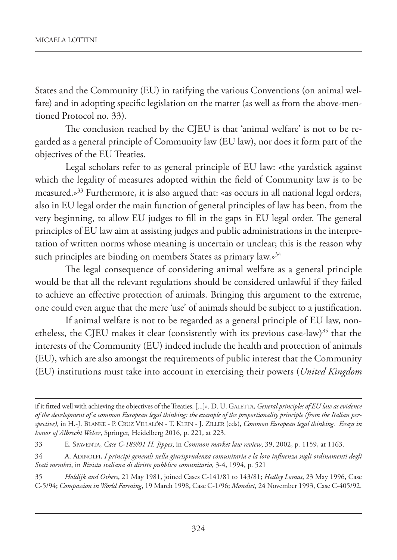States and the Community (EU) in ratifying the various Conventions (on animal welfare) and in adopting specific legislation on the matter (as well as from the above-mentioned Protocol no. 33).

The conclusion reached by the CJEU is that 'animal welfare' is not to be regarded as a general principle of Community law (EU law), nor does it form part of the objectives of the EU Treaties.

Legal scholars refer to as general principle of EU law: «the yardstick against which the legality of measures adopted within the field of Community law is to be measured.»33 Furthermore, it is also argued that: «as occurs in all national legal orders, also in EU legal order the main function of general principles of law has been, from the very beginning, to allow EU judges to fill in the gaps in EU legal order. The general principles of EU law aim at assisting judges and public administrations in the interpretation of written norms whose meaning is uncertain or unclear; this is the reason why such principles are binding on members States as primary law.»<sup>34</sup>

The legal consequence of considering animal welfare as a general principle would be that all the relevant regulations should be considered unlawful if they failed to achieve an effective protection of animals. Bringing this argument to the extreme, one could even argue that the mere 'use' of animals should be subject to a justification.

If animal welfare is not to be regarded as a general principle of EU law, nonetheless, the CJEU makes it clear (consistently with its previous case-law)<sup>35</sup> that the interests of the Community (EU) indeed include the health and protection of animals (EU), which are also amongst the requirements of public interest that the Community (EU) institutions must take into account in exercising their powers (*United Kingdom*

if it fitted well with achieving the objectives of the Treaties. [...]». D. U. GALETTA, *General principles of EU law as evidence of the development of a common European legal thinking: the example of the proportionality principle (from the Italian perspective)*, in H.-J. BLANKE - P. CRUZ VILLALÓN - T. KLEIN - J. ZILLER (eds), *Common European legal thinking. Essays in honor of Albrecht Weber*, Springer, Heidelberg 2016, p. 221, at 223.

<sup>33</sup> E. SPAVENTA, *Case C-189/01 H. Jippes*, in *Common market law review*, 39, 2002, p. 1159, at 1163.

<sup>34</sup> A. ADINOLFI, *I principi generali nella giurisprudenza comunitaria e la loro influenza sugli ordinamenti degli Stati membri*, in *Rivista italiana di diritto pubblico comunitario*, 3-4, 1994, p. 521

<sup>35</sup> *Holdijk and Others*, 21 May 1981, joined Cases C-141/81 to 143/81; *Hedley Lomas*, 23 May 1996, Case C-5/94; *Compassion in World Farming*, 19 March 1998, Case C-1/96; *Mondiet*, 24 November 1993, Case C-405/92.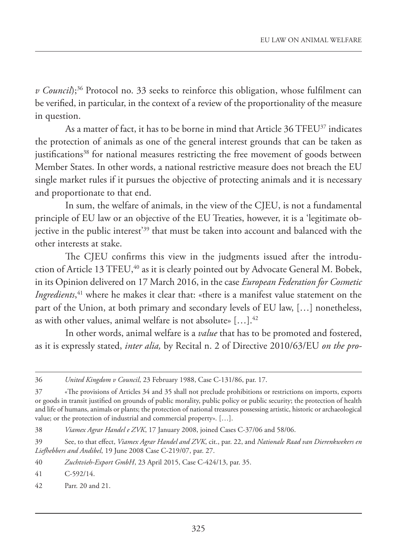*v Council*);<sup>36</sup> Protocol no. 33 seeks to reinforce this obligation, whose fulfilment can be verified, in particular, in the context of a review of the proportionality of the measure in question.

As a matter of fact, it has to be borne in mind that Article 36 TFEU<sup>37</sup> indicates the protection of animals as one of the general interest grounds that can be taken as justifications<sup>38</sup> for national measures restricting the free movement of goods between Member States. In other words, a national restrictive measure does not breach the EU single market rules if it pursues the objective of protecting animals and it is necessary and proportionate to that end.

In sum, the welfare of animals, in the view of the CJEU, is not a fundamental principle of EU law or an objective of the EU Treaties, however, it is a 'legitimate objective in the public interest'39 that must be taken into account and balanced with the other interests at stake.

The CJEU confirms this view in the judgments issued after the introduction of Article 13 TFEU,<sup>40</sup> as it is clearly pointed out by Advocate General M. Bobek, in its Opinion delivered on 17 March 2016, in the case *European Federation for Cosmetic Ingredients*, 41 where he makes it clear that: «there is a manifest value statement on the part of the Union, at both primary and secondary levels of EU law, […] nonetheless, as with other values, animal welfare is not absolute» […].42

In other words, animal welfare is a *value* that has to be promoted and fostered, as it is expressly stated, *inter alia,* by Recital n. 2 of Directive 2010/63/EU *on the pro-*

<sup>36</sup> *United Kingdom v Council*, 23 February 1988, Case C-131/86, par. 17.

<sup>37</sup> «The provisions of Articles 34 and 35 shall not preclude prohibitions or restrictions on imports, exports or goods in transit justified on grounds of public morality, public policy or public security; the protection of health and life of humans, animals or plants; the protection of national treasures possessing artistic, historic or archaeological value; or the protection of industrial and commercial property»*.* […].

<sup>38</sup> *Viamex Agrar Handel e ZVK*, 17 January 2008, joined Cases C-37/06 and 58/06.

<sup>39</sup> See, to that effect, *Viamex Agrar Handel and ZVK*, cit., par. 22, and *Nationale Raad van Dierenkwekers en Liefhebbers and Andibel*, 19 June 2008 Case C-219/07, par. 27.

<sup>40</sup> *Zuchtvieh-Export GmbH*, 23 April 2015, Case C-424/13, par. 35.

<sup>41</sup> C-592/14.

<sup>42</sup> Parr. 20 and 21.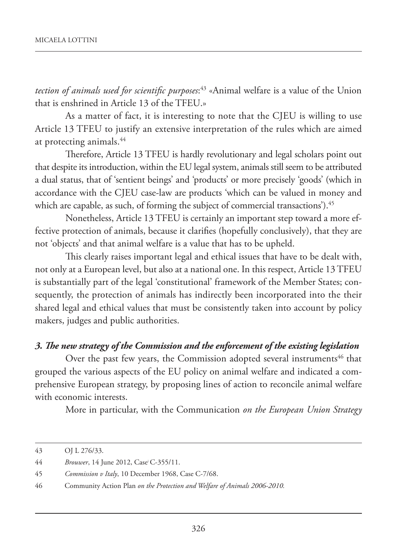*tection of animals used for scientific purposes*: 43 «Animal welfare is a value of the Union that is enshrined in Article 13 of the TFEU.»

As a matter of fact, it is interesting to note that the CJEU is willing to use Article 13 TFEU to justify an extensive interpretation of the rules which are aimed at protecting animals.<sup>44</sup>

Therefore, Article 13 TFEU is hardly revolutionary and legal scholars point out that despite its introduction, within the EU legal system, animals still seem to be attributed a dual status, that of 'sentient beings' and 'products' or more precisely 'goods' (which in accordance with the CJEU case-law are products 'which can be valued in money and which are capable, as such, of forming the subject of commercial transactions').<sup>45</sup>

Nonetheless, Article 13 TFEU is certainly an important step toward a more effective protection of animals, because it clarifies (hopefully conclusively), that they are not 'objects' and that animal welfare is a value that has to be upheld.

This clearly raises important legal and ethical issues that have to be dealt with, not only at a European level, but also at a national one. In this respect, Article 13 TFEU is substantially part of the legal 'constitutional' framework of the Member States; consequently, the protection of animals has indirectly been incorporated into the their shared legal and ethical values that must be consistently taken into account by policy makers, judges and public authorities.

#### *3. The new strategy of the Commission and the enforcement of the existing legislation*

Over the past few years, the Commission adopted several instruments<sup>46</sup> that grouped the various aspects of the EU policy on animal welfare and indicated a comprehensive European strategy, by proposing lines of action to reconcile animal welfare with economic interests.

More in particular, with the Communication *on the European Union Strategy*

<sup>43</sup> OJ L 276/33.

<sup>44</sup> *Brouwer*, 14 June 2012, Case; C-355/11.

<sup>45</sup> *Commission v Italy*, 10 December 1968, Case C-7/68.

<sup>46</sup> Community Action Plan *on the Protection and Welfare of Animals 2006-2010.*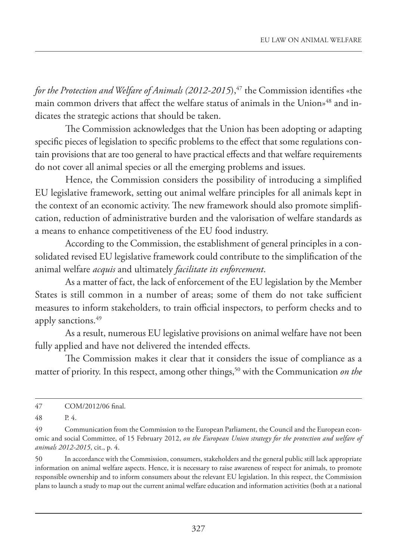*for the Protection and Welfare of Animals (2012-2015)*,<sup>47</sup> the Commission identifies «the main common drivers that affect the welfare status of animals in the Union»48 and indicates the strategic actions that should be taken.

The Commission acknowledges that the Union has been adopting or adapting specific pieces of legislation to specific problems to the effect that some regulations contain provisions that are too general to have practical effects and that welfare requirements do not cover all animal species or all the emerging problems and issues.

Hence, the Commission considers the possibility of introducing a simplified EU legislative framework, setting out animal welfare principles for all animals kept in the context of an economic activity. The new framework should also promote simplification, reduction of administrative burden and the valorisation of welfare standards as a means to enhance competitiveness of the EU food industry.

According to the Commission, the establishment of general principles in a consolidated revised EU legislative framework could contribute to the simplification of the animal welfare *acquis* and ultimately *facilitate its enforcement*.

As a matter of fact, the lack of enforcement of the EU legislation by the Member States is still common in a number of areas; some of them do not take sufficient measures to inform stakeholders, to train official inspectors, to perform checks and to apply sanctions.<sup>49</sup>

As a result, numerous EU legislative provisions on animal welfare have not been fully applied and have not delivered the intended effects.

The Commission makes it clear that it considers the issue of compliance as a matter of priority. In this respect, among other things,<sup>50</sup> with the Communication *on the* 

48 P. 4.

<sup>47</sup> COM/2012/06 final.

<sup>49</sup> Communication from the Commission to the European Parliament, the Council and the European economic and social Committee, of 15 February 2012, *on the European Union strategy for the protection and welfare of animals 2012-2015*, cit., p. 4.

<sup>50</sup> In accordance with the Commission, consumers, stakeholders and the general public still lack appropriate information on animal welfare aspects. Hence, it is necessary to raise awareness of respect for animals, to promote responsible ownership and to inform consumers about the relevant EU legislation. In this respect, the Commission plans to launch a study to map out the current animal welfare education and information activities (both at a national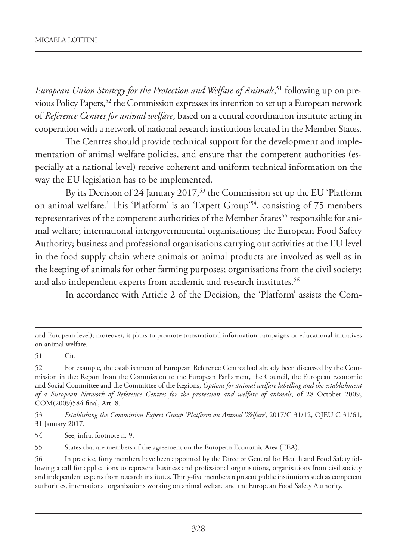*European Union Strategy for the Protection and Welfare of Animals*, 51 following up on previous Policy Papers,52 the Commission expresses its intention to set up a European network of *Reference Centres for animal welfare*, based on a central coordination institute acting in cooperation with a network of national research institutions located in the Member States.

The Centres should provide technical support for the development and implementation of animal welfare policies, and ensure that the competent authorities (especially at a national level) receive coherent and uniform technical information on the way the EU legislation has to be implemented.

By its Decision of 24 January 2017,<sup>53</sup> the Commission set up the EU 'Platform on animal welfare.' This 'Platform' is an 'Expert Group'54, consisting of 75 members representatives of the competent authorities of the Member States<sup>55</sup> responsible for animal welfare; international intergovernmental organisations; the European Food Safety Authority; business and professional organisations carrying out activities at the EU level in the food supply chain where animals or animal products are involved as well as in the keeping of animals for other farming purposes; organisations from the civil society; and also independent experts from academic and research institutes.<sup>56</sup>

In accordance with Article 2 of the Decision, the 'Platform' assists the Com-

51 Cit.

53 *Establishing the Commission Expert Group 'Platform on Animal Welfare'*, 2017/C 31/12, OJEU C 31/61, 31 January 2017.

54 See, infra, footnote n. 9.

55 States that are members of the agreement on the European Economic Area (EEA).

and European level); moreover, it plans to promote transnational information campaigns or educational initiatives on animal welfare.

<sup>52</sup> For example, the establishment of European Reference Centres had already been discussed by the Commission in the: Report from the Commission to the European Parliament, the Council, the European Economic and Social Committee and the Committee of the Regions, *Options for animal welfare labelling and the establishment of a European Network of Reference Centres for the protection and welfare of animals*, of 28 October 2009, COM(2009)584 final, Art. 8.

<sup>56</sup> In practice, forty members have been appointed by the Director General for Health and Food Safety following a call for applications to represent business and professional organisations, organisations from civil society and independent experts from research institutes. Thirty-five members represent public institutions such as competent authorities, international organisations working on animal welfare and the European Food Safety Authority.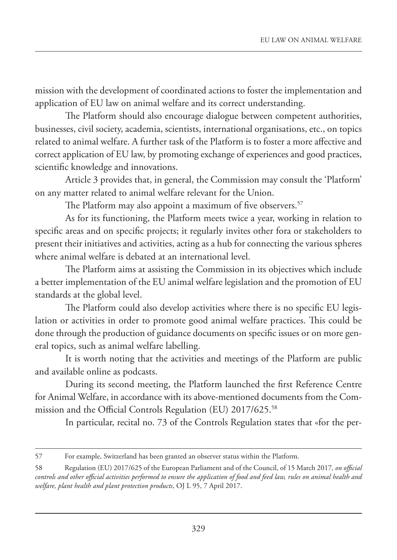mission with the development of coordinated actions to foster the implementation and application of EU law on animal welfare and its correct understanding.

The Platform should also encourage dialogue between competent authorities, businesses, civil society, academia, scientists, international organisations, etc., on topics related to animal welfare. A further task of the Platform is to foster a more affective and correct application of EU law, by promoting exchange of experiences and good practices, scientific knowledge and innovations.

Article 3 provides that, in general, the Commission may consult the 'Platform' on any matter related to animal welfare relevant for the Union.

The Platform may also appoint a maximum of five observers.<sup>57</sup>

As for its functioning, the Platform meets twice a year, working in relation to specific areas and on specific projects; it regularly invites other fora or stakeholders to present their initiatives and activities, acting as a hub for connecting the various spheres where animal welfare is debated at an international level.

The Platform aims at assisting the Commission in its objectives which include a better implementation of the EU animal welfare legislation and the promotion of EU standards at the global level.

The Platform could also develop activities where there is no specific EU legislation or activities in order to promote good animal welfare practices. This could be done through the production of guidance documents on specific issues or on more general topics, such as animal welfare labelling.

It is worth noting that the activities and meetings of the Platform are public and available online as podcasts.

During its second meeting, the Platform launched the first Reference Centre for Animal Welfare, in accordance with its above-mentioned documents from the Commission and the Official Controls Regulation (EU) 2017/625.58

In particular, recital no. 73 of the Controls Regulation states that «for the per-

<sup>57</sup> For example, Switzerland has been granted an observer status within the Platform.

<sup>58</sup> Regulation (EU) 2017/625 of the European Parliament and of the Council, of 15 March 2017*, on official controls and other official activities performed to ensure the application of food and feed law, rules on animal health and welfare, plant health and plant protection products*, OJ L 95, 7 April 2017.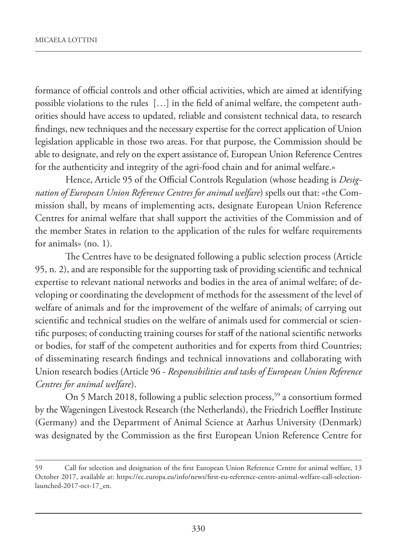formance of official controls and other official activities, which are aimed at identifying possible violations to the rules […] in the field of animal welfare, the competent authorities should have access to updated, reliable and consistent technical data, to research findings, new techniques and the necessary expertise for the correct application of Union legislation applicable in those two areas. For that purpose, the Commission should be able to designate, and rely on the expert assistance of, European Union Reference Centres for the authenticity and integrity of the agri-food chain and for animal welfare.»

Hence, Article 95 of the Official Controls Regulation (whose heading is *Designation of European Union Reference Centres for animal welfare*) spells out that: «the Commission shall, by means of implementing acts, designate European Union Reference Centres for animal welfare that shall support the activities of the Commission and of the member States in relation to the application of the rules for welfare requirements for animals» (no. 1).

The Centres have to be designated following a public selection process (Article 95, n. 2), and are responsible for the supporting task of providing scientific and technical expertise to relevant national networks and bodies in the area of animal welfare; of developing or coordinating the development of methods for the assessment of the level of welfare of animals and for the improvement of the welfare of animals; of carrying out scientific and technical studies on the welfare of animals used for commercial or scientific purposes; of conducting training courses for staff of the national scientific networks or bodies, for staff of the competent authorities and for experts from third Countries; of disseminating research findings and technical innovations and collaborating with Union research bodies (Article 96 - *Responsibilities and tasks of European Union Reference Centres for animal welfare*).

On 5 March 2018, following a public selection process,<sup>59</sup> a consortium formed by the Wageningen Livestock Research (the Netherlands), the Friedrich Loeffler Institute (Germany) and the Department of Animal Science at Aarhus University (Denmark) was designated by the Commission as the first European Union Reference Centre for

<sup>59</sup> Call for selection and designation of the first European Union Reference Centre for animal welfare, 13 October 2017, available at: https://ec.europa.eu/info/news/first-eu-reference-centre-animal-welfare-call-selectionlaunched-2017-oct-17\_en.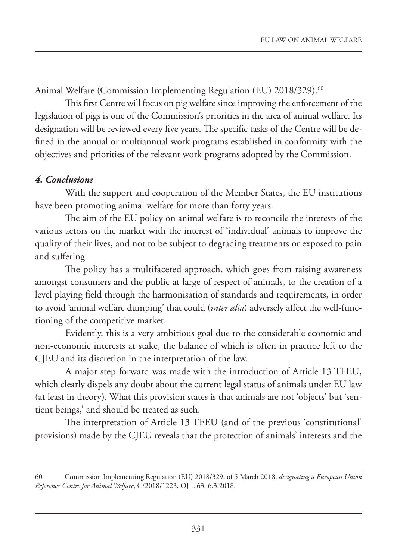Animal Welfare (Commission Implementing Regulation (EU) 2018/329). 60

This first Centre will focus on pig welfare since improving the enforcement of the legislation of pigs is one of the Commission's priorities in the area of animal welfare. Its designation will be reviewed every five years. The specific tasks of the Centre will be defined in the annual or multiannual work programs established in conformity with the objectives and priorities of the relevant work programs adopted by the Commission.

## *4. Conclusions*

With the support and cooperation of the Member States, the EU institutions have been promoting animal welfare for more than forty years.

The aim of the EU policy on animal welfare is to reconcile the interests of the various actors on the market with the interest of 'individual' animals to improve the quality of their lives, and not to be subject to degrading treatments or exposed to pain and suffering.

The policy has a multifaceted approach, which goes from raising awareness amongst consumers and the public at large of respect of animals, to the creation of a level playing field through the harmonisation of standards and requirements, in order to avoid 'animal welfare dumping' that could (*inter alia*) adversely affect the well-functioning of the competitive market.

Evidently, this is a very ambitious goal due to the considerable economic and non-economic interests at stake, the balance of which is often in practice left to the CJEU and its discretion in the interpretation of the law.

A major step forward was made with the introduction of Article 13 TFEU, which clearly dispels any doubt about the current legal status of animals under EU law (at least in theory). What this provision states is that animals are not 'objects' but 'sentient beings,' and should be treated as such.

The interpretation of Article 13 TFEU (and of the previous 'constitutional' provisions) made by the CJEU reveals that the protection of animals' interests and the

<sup>60</sup> Commission Implementing Regulation (EU) 2018/329, of 5 March 2018, *designating a European Union Reference Centre for Animal Welfare*, C/2018/1223*,* OJ L 63, 6.3.2018.